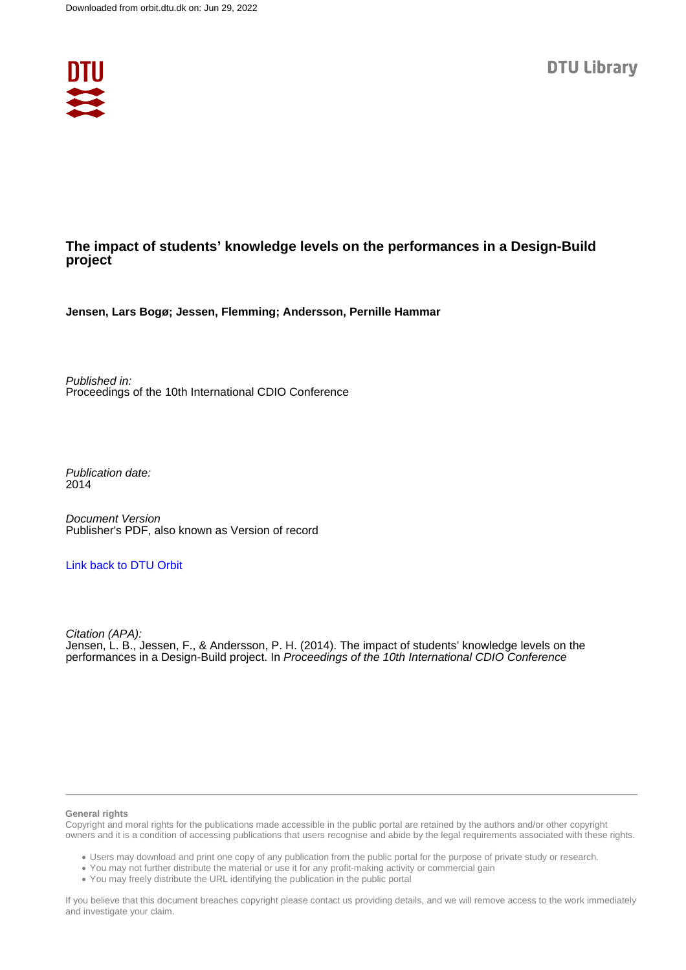

# **The impact of students' knowledge levels on the performances in a Design-Build project**

**Jensen, Lars Bogø; Jessen, Flemming; Andersson, Pernille Hammar**

Published in: Proceedings of the 10th International CDIO Conference

Publication date: 2014

Document Version Publisher's PDF, also known as Version of record

## [Link back to DTU Orbit](https://orbit.dtu.dk/en/publications/2e480d38-42e4-42e2-bcac-eda0ec549b06)

Citation (APA): Jensen, L. B., Jessen, F., & Andersson, P. H. (2014). The impact of students' knowledge levels on the performances in a Design-Build project. In Proceedings of the 10th International CDIO Conference

#### **General rights**

Copyright and moral rights for the publications made accessible in the public portal are retained by the authors and/or other copyright owners and it is a condition of accessing publications that users recognise and abide by the legal requirements associated with these rights.

Users may download and print one copy of any publication from the public portal for the purpose of private study or research.

- You may not further distribute the material or use it for any profit-making activity or commercial gain
- You may freely distribute the URL identifying the publication in the public portal

If you believe that this document breaches copyright please contact us providing details, and we will remove access to the work immediately and investigate your claim.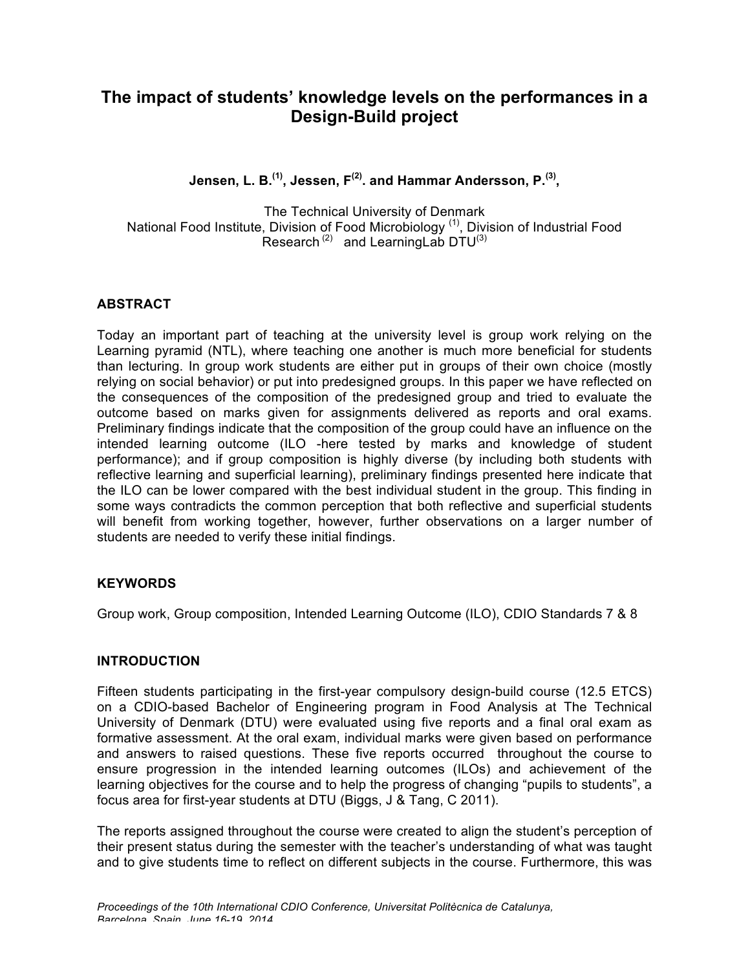# **The impact of students' knowledge levels on the performances in a Design-Build project**

**Jensen, L. B.(1), Jessen, F(2). and Hammar Andersson, P. (3),** 

The Technical University of Denmark National Food Institute, Division of Food Microbiology<sup>(1)</sup>, Division of Industrial Food Research<sup>(2)</sup> and Learning Lab  $DTU^{(3)}$ 

# **ABSTRACT**

Today an important part of teaching at the university level is group work relying on the Learning pyramid (NTL), where teaching one another is much more beneficial for students than lecturing. In group work students are either put in groups of their own choice (mostly relying on social behavior) or put into predesigned groups. In this paper we have reflected on the consequences of the composition of the predesigned group and tried to evaluate the outcome based on marks given for assignments delivered as reports and oral exams. Preliminary findings indicate that the composition of the group could have an influence on the intended learning outcome (ILO -here tested by marks and knowledge of student performance); and if group composition is highly diverse (by including both students with reflective learning and superficial learning), preliminary findings presented here indicate that the ILO can be lower compared with the best individual student in the group. This finding in some ways contradicts the common perception that both reflective and superficial students will benefit from working together, however, further observations on a larger number of students are needed to verify these initial findings.

## **KEYWORDS**

Group work, Group composition, Intended Learning Outcome (ILO), CDIO Standards 7 & 8

## **INTRODUCTION**

Fifteen students participating in the first-year compulsory design-build course (12.5 ETCS) on a CDIO-based Bachelor of Engineering program in Food Analysis at The Technical University of Denmark (DTU) were evaluated using five reports and a final oral exam as formative assessment. At the oral exam, individual marks were given based on performance and answers to raised questions. These five reports occurred throughout the course to ensure progression in the intended learning outcomes (ILOs) and achievement of the learning objectives for the course and to help the progress of changing "pupils to students", a focus area for first-year students at DTU (Biggs, J & Tang, C 2011).

The reports assigned throughout the course were created to align the student's perception of their present status during the semester with the teacher's understanding of what was taught and to give students time to reflect on different subjects in the course. Furthermore, this was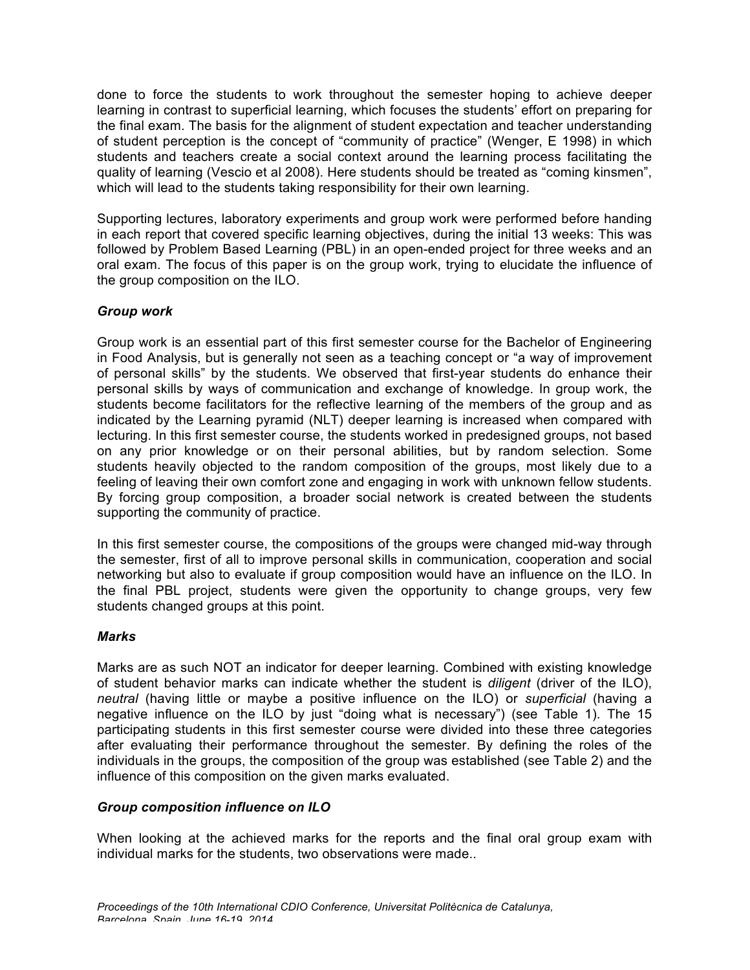done to force the students to work throughout the semester hoping to achieve deeper learning in contrast to superficial learning, which focuses the students' effort on preparing for the final exam. The basis for the alignment of student expectation and teacher understanding of student perception is the concept of "community of practice" (Wenger, E 1998) in which students and teachers create a social context around the learning process facilitating the quality of learning (Vescio et al 2008). Here students should be treated as "coming kinsmen", which will lead to the students taking responsibility for their own learning.

Supporting lectures, laboratory experiments and group work were performed before handing in each report that covered specific learning objectives, during the initial 13 weeks: This was followed by Problem Based Learning (PBL) in an open-ended project for three weeks and an oral exam. The focus of this paper is on the group work, trying to elucidate the influence of the group composition on the ILO.

# *Group work*

Group work is an essential part of this first semester course for the Bachelor of Engineering in Food Analysis, but is generally not seen as a teaching concept or "a way of improvement of personal skills" by the students. We observed that first-year students do enhance their personal skills by ways of communication and exchange of knowledge. In group work, the students become facilitators for the reflective learning of the members of the group and as indicated by the Learning pyramid (NLT) deeper learning is increased when compared with lecturing. In this first semester course, the students worked in predesigned groups, not based on any prior knowledge or on their personal abilities, but by random selection. Some students heavily objected to the random composition of the groups, most likely due to a feeling of leaving their own comfort zone and engaging in work with unknown fellow students. By forcing group composition, a broader social network is created between the students supporting the community of practice.

In this first semester course, the compositions of the groups were changed mid-way through the semester, first of all to improve personal skills in communication, cooperation and social networking but also to evaluate if group composition would have an influence on the ILO. In the final PBL project, students were given the opportunity to change groups, very few students changed groups at this point.

## *Marks*

Marks are as such NOT an indicator for deeper learning. Combined with existing knowledge of student behavior marks can indicate whether the student is *diligent* (driver of the ILO), *neutral* (having little or maybe a positive influence on the ILO) or *superficial* (having a negative influence on the ILO by just "doing what is necessary") (see Table 1). The 15 participating students in this first semester course were divided into these three categories after evaluating their performance throughout the semester. By defining the roles of the individuals in the groups, the composition of the group was established (see Table 2) and the influence of this composition on the given marks evaluated.

# *Group composition influence on ILO*

When looking at the achieved marks for the reports and the final oral group exam with individual marks for the students, two observations were made..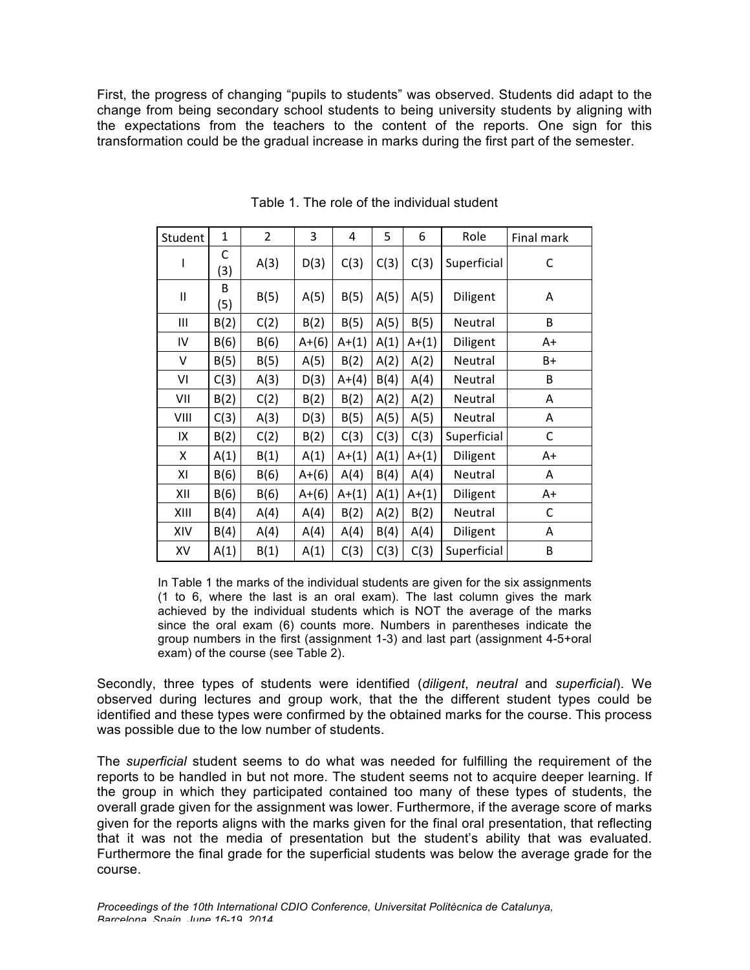First, the progress of changing "pupils to students" was observed. Students did adapt to the change from being secondary school students to being university students by aligning with the expectations from the teachers to the content of the reports. One sign for this transformation could be the gradual increase in marks during the first part of the semester.

| Student      | $\mathbf{1}$ | $\overline{2}$ | 3       | 4         | 5    | 6         | Role        | Final mark |
|--------------|--------------|----------------|---------|-----------|------|-----------|-------------|------------|
| ı            | С<br>(3)     | A(3)           | D(3)    | C(3)      | C(3) | C(3)      | Superficial | C          |
| $\mathsf{I}$ | B<br>(5)     | B(5)           | A(5)    | B(5)      | A(5) | A(5)      | Diligent    | Α          |
| Ш            | B(2)         | C(2)           | B(2)    | B(5)      | A(5) | B(5)      | Neutral     | B          |
| IV           | B(6)         | B(6)           | $A+(6)$ | $A+(1)$   | A(1) | $A+(1)$   | Diligent    | A+         |
| V            | B(5)         | B(5)           | A(5)    | B(2)      | A(2) | A(2)      | Neutral     | B+         |
| ٧I           | C(3)         | A(3)           | D(3)    | $A+(4)$   | B(4) | A(4)      | Neutral     | B          |
| VII          | B(2)         | C(2)           | B(2)    | B(2)      | A(2) | A(2)      | Neutral     | A          |
| VIII         | C(3)         | A(3)           | D(3)    | B(5)      | A(5) | A(5)      | Neutral     | Α          |
| IX           | B(2)         | C(2)           | B(2)    | C(3)      | C(3) | C(3)      | Superficial | C          |
| X            | A(1)         | B(1)           | A(1)    | $A + (1)$ | A(1) | $A + (1)$ | Diligent    | $A+$       |
| ΧI           | B(6)         | B(6)           | $A+(6)$ | A(4)      | B(4) | A(4)      | Neutral     | Α          |
| XII          | B(6)         | B(6)           | $A+(6)$ | $A+(1)$   | A(1) | $A + (1)$ | Diligent    | A+         |
| XIII         | B(4)         | A(4)           | A(4)    | B(2)      | A(2) | B(2)      | Neutral     | C          |
| XIV          | B(4)         | A(4)           | A(4)    | A(4)      | B(4) | A(4)      | Diligent    | A          |
| XV           | A(1)         | B(1)           | A(1)    | C(3)      | C(3) | C(3)      | Superficial | B          |

Table 1. The role of the individual student

In Table 1 the marks of the individual students are given for the six assignments (1 to 6, where the last is an oral exam). The last column gives the mark achieved by the individual students which is NOT the average of the marks since the oral exam (6) counts more. Numbers in parentheses indicate the group numbers in the first (assignment 1-3) and last part (assignment 4-5+oral exam) of the course (see Table 2).

Secondly, three types of students were identified (*diligent*, *neutral* and *superficial*). We observed during lectures and group work, that the the different student types could be identified and these types were confirmed by the obtained marks for the course. This process was possible due to the low number of students.

The *superficial* student seems to do what was needed for fulfilling the requirement of the reports to be handled in but not more. The student seems not to acquire deeper learning. If the group in which they participated contained too many of these types of students, the overall grade given for the assignment was lower. Furthermore, if the average score of marks given for the reports aligns with the marks given for the final oral presentation, that reflecting that it was not the media of presentation but the student's ability that was evaluated. Furthermore the final grade for the superficial students was below the average grade for the course.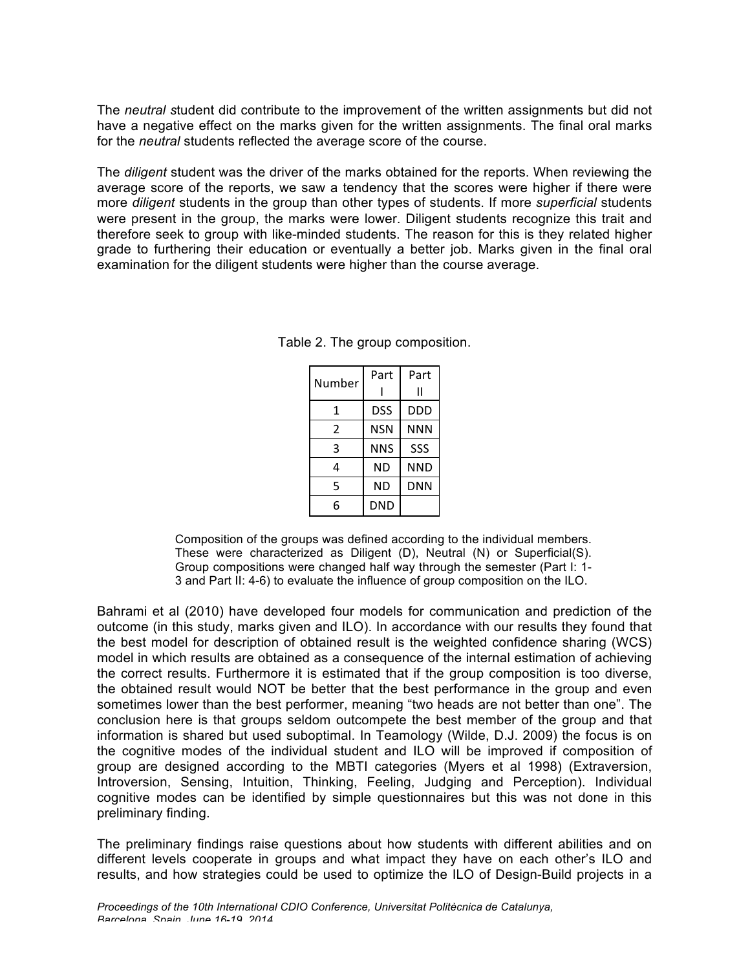The *neutral s*tudent did contribute to the improvement of the written assignments but did not have a negative effect on the marks given for the written assignments. The final oral marks for the *neutral* students reflected the average score of the course.

The *diligent* student was the driver of the marks obtained for the reports. When reviewing the average score of the reports, we saw a tendency that the scores were higher if there were more *diligent* students in the group than other types of students. If more *superficial* students were present in the group, the marks were lower. Diligent students recognize this trait and therefore seek to group with like-minded students. The reason for this is they related higher grade to furthering their education or eventually a better job. Marks given in the final oral examination for the diligent students were higher than the course average.

| Number | Part       | Part |
|--------|------------|------|
|        |            |      |
| 1      | <b>DSS</b> | DDD  |
| 2      | NSN        | NNN  |
| 3      | NNS        | SSS  |
| 4      | ND         | NND  |
| 5      | ND         | DNN  |
| 6      | DND        |      |

Table 2. The group composition.

Composition of the groups was defined according to the individual members. These were characterized as Diligent (D), Neutral (N) or Superficial(S). Group compositions were changed half way through the semester (Part I: 1- 3 and Part II: 4-6) to evaluate the influence of group composition on the ILO.

Bahrami et al (2010) have developed four models for communication and prediction of the outcome (in this study, marks given and ILO). In accordance with our results they found that the best model for description of obtained result is the weighted confidence sharing (WCS) model in which results are obtained as a consequence of the internal estimation of achieving the correct results. Furthermore it is estimated that if the group composition is too diverse, the obtained result would NOT be better that the best performance in the group and even sometimes lower than the best performer, meaning "two heads are not better than one". The conclusion here is that groups seldom outcompete the best member of the group and that information is shared but used suboptimal. In Teamology (Wilde, D.J. 2009) the focus is on the cognitive modes of the individual student and ILO will be improved if composition of group are designed according to the MBTI categories (Myers et al 1998) (Extraversion, Introversion, Sensing, Intuition, Thinking, Feeling, Judging and Perception). Individual cognitive modes can be identified by simple questionnaires but this was not done in this preliminary finding.

The preliminary findings raise questions about how students with different abilities and on different levels cooperate in groups and what impact they have on each other's ILO and results, and how strategies could be used to optimize the ILO of Design-Build projects in a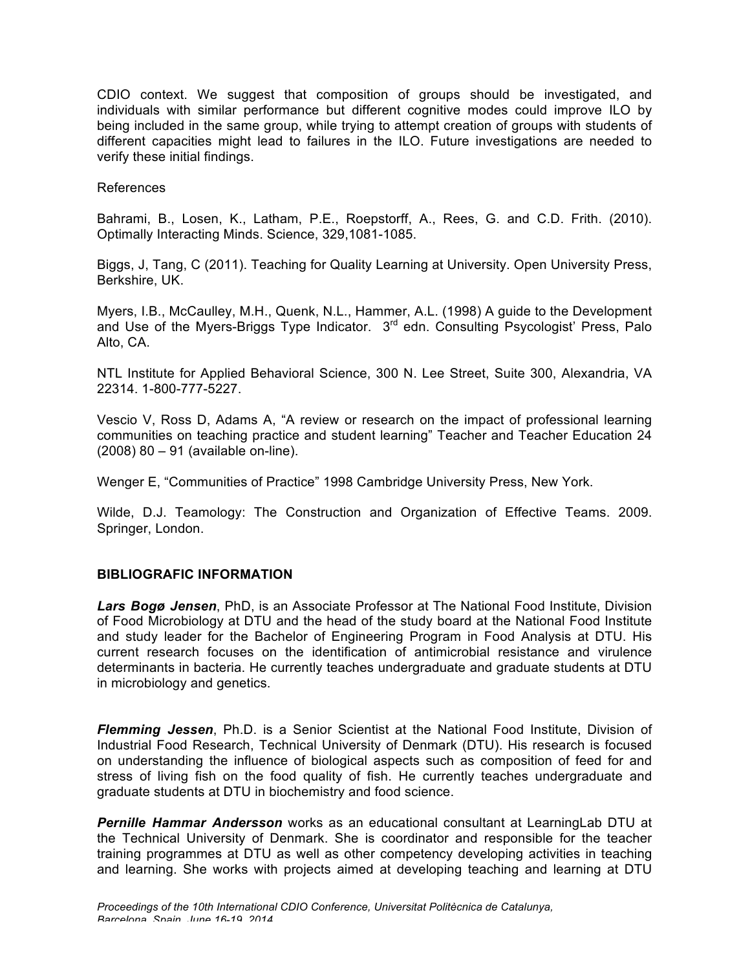CDIO context. We suggest that composition of groups should be investigated, and individuals with similar performance but different cognitive modes could improve ILO by being included in the same group, while trying to attempt creation of groups with students of different capacities might lead to failures in the ILO. Future investigations are needed to verify these initial findings.

#### References

Bahrami, B., Losen, K., Latham, P.E., Roepstorff, A., Rees, G. and C.D. Frith. (2010). Optimally Interacting Minds. Science, 329,1081-1085.

Biggs, J, Tang, C (2011). Teaching for Quality Learning at University. Open University Press, Berkshire, UK.

Myers, I.B., McCaulley, M.H., Quenk, N.L., Hammer, A.L. (1998) A guide to the Development and Use of the Myers-Briggs Type Indicator.  $3<sup>rd</sup>$  edn. Consulting Psycologist' Press, Palo Alto, CA.

NTL Institute for Applied Behavioral Science, 300 N. Lee Street, Suite 300, Alexandria, VA 22314. 1-800-777-5227.

Vescio V, Ross D, Adams A, "A review or research on the impact of professional learning communities on teaching practice and student learning" Teacher and Teacher Education 24 (2008) 80 – 91 (available on-line).

Wenger E, "Communities of Practice" 1998 Cambridge University Press, New York.

Wilde, D.J. Teamology: The Construction and Organization of Effective Teams. 2009. Springer, London.

# **BIBLIOGRAFIC INFORMATION**

*Lars Bogø Jensen*, PhD, is an Associate Professor at The National Food Institute, Division of Food Microbiology at DTU and the head of the study board at the National Food Institute and study leader for the Bachelor of Engineering Program in Food Analysis at DTU. His current research focuses on the identification of antimicrobial resistance and virulence determinants in bacteria. He currently teaches undergraduate and graduate students at DTU in microbiology and genetics.

*Flemming Jessen*, Ph.D. is a Senior Scientist at the National Food Institute, Division of Industrial Food Research, Technical University of Denmark (DTU). His research is focused on understanding the influence of biological aspects such as composition of feed for and stress of living fish on the food quality of fish. He currently teaches undergraduate and graduate students at DTU in biochemistry and food science.

*Pernille Hammar Andersson* works as an educational consultant at LearningLab DTU at the Technical University of Denmark. She is coordinator and responsible for the teacher training programmes at DTU as well as other competency developing activities in teaching and learning. She works with projects aimed at developing teaching and learning at DTU